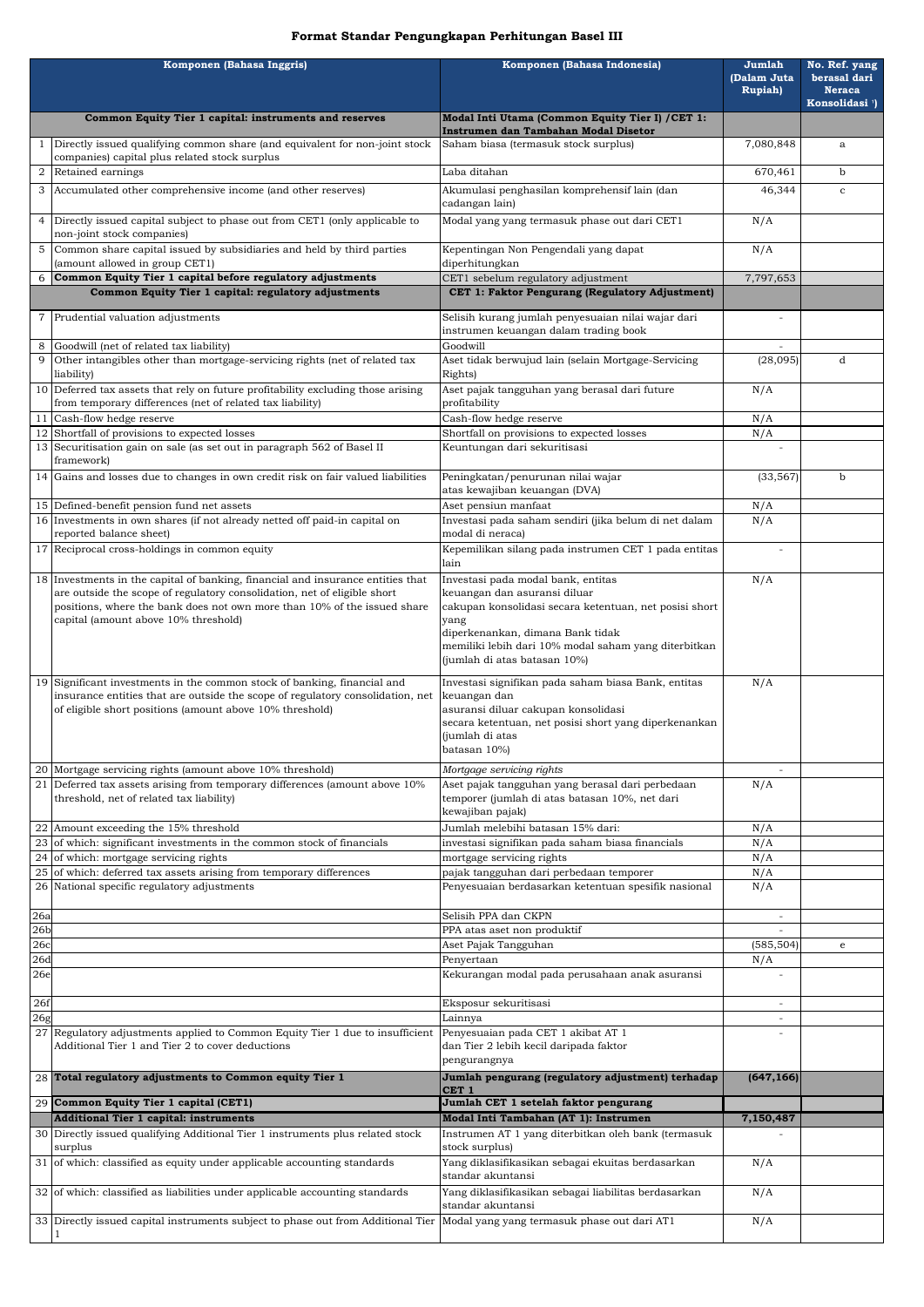| Komponen (Bahasa Inggris) |                                                                                                                                                             | Komponen (Bahasa Indonesia)                                                                        | Jumlah<br>(Dalam Juta<br><b>Rupiah</b> ) | No. Ref. yang<br>berasal dari<br><b>Neraca</b><br>Konsolidasi <sup>1</sup> ) |
|---------------------------|-------------------------------------------------------------------------------------------------------------------------------------------------------------|----------------------------------------------------------------------------------------------------|------------------------------------------|------------------------------------------------------------------------------|
|                           | Common Equity Tier 1 capital: instruments and reserves                                                                                                      | Modal Inti Utama (Common Equity Tier I) / CET 1:                                                   |                                          |                                                                              |
|                           | Directly issued qualifying common share (and equivalent for non-joint stock                                                                                 | Instrumen dan Tambahan Modal Disetor<br>Saham biasa (termasuk stock surplus)                       | 7,080,848                                | a                                                                            |
| 2                         | companies) capital plus related stock surplus<br>Retained earnings                                                                                          | Laba ditahan                                                                                       | 670,461                                  | $\mathbf b$                                                                  |
| 3                         | Accumulated other comprehensive income (and other reserves)                                                                                                 | Akumulasi penghasilan komprehensif lain (dan                                                       | 46,344                                   | $\mathbf{C}$                                                                 |
|                           |                                                                                                                                                             | cadangan lain)                                                                                     |                                          |                                                                              |
| $\overline{4}$            | Directly issued capital subject to phase out from CET1 (only applicable to<br>non-joint stock companies)                                                    | Modal yang yang termasuk phase out dari CET1                                                       | N/A                                      |                                                                              |
| 5                         | Common share capital issued by subsidiaries and held by third parties<br>(amount allowed in group CET1)                                                     | Kepentingan Non Pengendali yang dapat<br>diperhitungkan                                            | N/A                                      |                                                                              |
| 6                         | Common Equity Tier 1 capital before regulatory adjustments                                                                                                  | CET1 sebelum regulatory adjustment                                                                 | 7,797,653                                |                                                                              |
|                           | Common Equity Tier 1 capital: regulatory adjustments                                                                                                        | CET 1: Faktor Pengurang (Regulatory Adjustment)                                                    |                                          |                                                                              |
|                           | 7 Prudential valuation adjustments                                                                                                                          | Selisih kurang jumlah penyesuaian nilai wajar dari<br>instrumen keuangan dalam trading book        |                                          |                                                                              |
| 9                         | Goodwill (net of related tax liability)<br>Other intangibles other than mortgage-servicing rights (net of related tax                                       | Goodwill<br>Aset tidak berwujud lain (selain Mortgage-Servicing                                    | (28,095)                                 | d                                                                            |
|                           | liability)                                                                                                                                                  | Rights)                                                                                            |                                          |                                                                              |
|                           | 10 Deferred tax assets that rely on future profitability excluding those arising<br>from temporary differences (net of related tax liability)               | Aset pajak tangguhan yang berasal dari future<br>profitability                                     | N/A                                      |                                                                              |
| -11                       | Cash-flow hedge reserve                                                                                                                                     | Cash-flow hedge reserve                                                                            | N/A                                      |                                                                              |
|                           | 12 Shortfall of provisions to expected losses<br>13 Securitisation gain on sale (as set out in paragraph 562 of Basel II                                    | Shortfall on provisions to expected losses<br>Keuntungan dari sekuritisasi                         | N/A                                      |                                                                              |
|                           | framework)                                                                                                                                                  |                                                                                                    |                                          |                                                                              |
|                           | 14 Gains and losses due to changes in own credit risk on fair valued liabilities                                                                            | Peningkatan/penurunan nilai wajar<br>atas kewajiban keuangan (DVA)                                 | (33, 567)                                | b                                                                            |
|                           | 15 Defined-benefit pension fund net assets                                                                                                                  | Aset pensiun manfaat                                                                               | N/A                                      |                                                                              |
|                           | 16 Investments in own shares (if not already netted off paid-in capital on<br>reported balance sheet)                                                       | Investasi pada saham sendiri (jika belum di net dalam<br>modal di neraca)                          | N/A                                      |                                                                              |
|                           | 17 Reciprocal cross-holdings in common equity                                                                                                               | Kepemilikan silang pada instrumen CET 1 pada entitas                                               |                                          |                                                                              |
|                           |                                                                                                                                                             | lain                                                                                               |                                          |                                                                              |
|                           | 18 Investments in the capital of banking, financial and insurance entities that<br>are outside the scope of regulatory consolidation, net of eligible short | Investasi pada modal bank, entitas<br>keuangan dan asuransi diluar                                 | N/A                                      |                                                                              |
|                           | positions, where the bank does not own more than 10% of the issued share<br>capital (amount above 10% threshold)                                            | cakupan konsolidasi secara ketentuan, net posisi short                                             |                                          |                                                                              |
|                           |                                                                                                                                                             | yang<br>diperkenankan, dimana Bank tidak                                                           |                                          |                                                                              |
|                           |                                                                                                                                                             | memiliki lebih dari 10% modal saham yang diterbitkan<br>(jumlah di atas batasan 10%)               |                                          |                                                                              |
| 19                        | Significant investments in the common stock of banking, financial and                                                                                       | Investasi signifikan pada saham biasa Bank, entitas                                                | N/A                                      |                                                                              |
|                           | insurance entities that are outside the scope of regulatory consolidation, net<br>of eligible short positions (amount above 10% threshold)                  | keuangan dan<br>asuransi diluar cakupan konsolidasi                                                |                                          |                                                                              |
|                           |                                                                                                                                                             | secara ketentuan, net posisi short yang diperkenankan                                              |                                          |                                                                              |
|                           |                                                                                                                                                             | (jumlah di atas<br>batasan 10%)                                                                    |                                          |                                                                              |
|                           | 20 Mortgage servicing rights (amount above 10% threshold)                                                                                                   | Mortgage servicing rights                                                                          |                                          |                                                                              |
|                           | 21 Deferred tax assets arising from temporary differences (amount above 10%)<br>threshold, net of related tax liability)                                    | Aset pajak tangguhan yang berasal dari perbedaan<br>temporer (jumlah di atas batasan 10%, net dari | N/A                                      |                                                                              |
|                           |                                                                                                                                                             | kewajiban pajak)                                                                                   |                                          |                                                                              |
|                           | 22 Amount exceeding the 15% threshold                                                                                                                       | Jumlah melebihi batasan 15% dari:                                                                  | N/A                                      |                                                                              |
|                           | 23 of which: significant investments in the common stock of financials<br>24 of which: mortgage servicing rights                                            | investasi signifikan pada saham biasa financials<br>mortgage servicing rights                      | N/A<br>N/A                               |                                                                              |
|                           | $25$ of which: deferred tax assets arising from temporary differences                                                                                       | pajak tangguhan dari perbedaan temporer                                                            | N/A                                      |                                                                              |
|                           | 26 National specific regulatory adjustments                                                                                                                 | Penyesuaian berdasarkan ketentuan spesifik nasional                                                | N/A                                      |                                                                              |
| 26a                       |                                                                                                                                                             | Selisih PPA dan CKPN                                                                               |                                          |                                                                              |
| 26 <sub>b</sub><br>26c    |                                                                                                                                                             | PPA atas aset non produktif<br>Aset Pajak Tangguhan                                                | (585, 504)                               | e                                                                            |
| 26d                       |                                                                                                                                                             | Penyertaan                                                                                         | N/A                                      |                                                                              |
| 26e                       |                                                                                                                                                             | Kekurangan modal pada perusahaan anak asuransi                                                     |                                          |                                                                              |
| 26f                       |                                                                                                                                                             | Eksposur sekuritisasi                                                                              |                                          |                                                                              |
| $\overline{2}$ 6g         | 27 Regulatory adjustments applied to Common Equity Tier 1 due to insufficient                                                                               | Lainnya<br>Penyesuaian pada CET 1 akibat AT 1                                                      |                                          |                                                                              |
|                           | Additional Tier 1 and Tier 2 to cover deductions                                                                                                            | dan Tier 2 lebih kecil daripada faktor<br>pengurangnya                                             |                                          |                                                                              |
|                           | 28 Total regulatory adjustments to Common equity Tier 1                                                                                                     | Jumlah pengurang (regulatory adjustment) terhadap<br>CET <sub>1</sub>                              | (647, 166)                               |                                                                              |
|                           | 29 Common Equity Tier 1 capital (CET1)                                                                                                                      | Jumlah CET 1 setelah faktor pengurang                                                              |                                          |                                                                              |
|                           | <b>Additional Tier 1 capital: instruments</b><br>30 Directly issued qualifying Additional Tier 1 instruments plus related stock                             | Modal Inti Tambahan (AT 1): Instrumen<br>Instrumen AT 1 yang diterbitkan oleh bank (termasuk       | 7,150,487                                |                                                                              |
|                           | surplus<br>31 of which: classified as equity under applicable accounting standards                                                                          | stock surplus)<br>Yang diklasifikasikan sebagai ekuitas berdasarkan                                | N/A                                      |                                                                              |
|                           |                                                                                                                                                             | standar akuntansi                                                                                  |                                          |                                                                              |
|                           | 32 of which: classified as liabilities under applicable accounting standards                                                                                | Yang diklasifikasikan sebagai liabilitas berdasarkan<br>standar akuntansi                          | N/A                                      |                                                                              |
|                           | 33 Directly issued capital instruments subject to phase out from Additional Tier Modal yang yang termasuk phase out dari AT1                                |                                                                                                    | N/A                                      |                                                                              |

## **Format Standar Pengungkapan Perhitungan Basel III**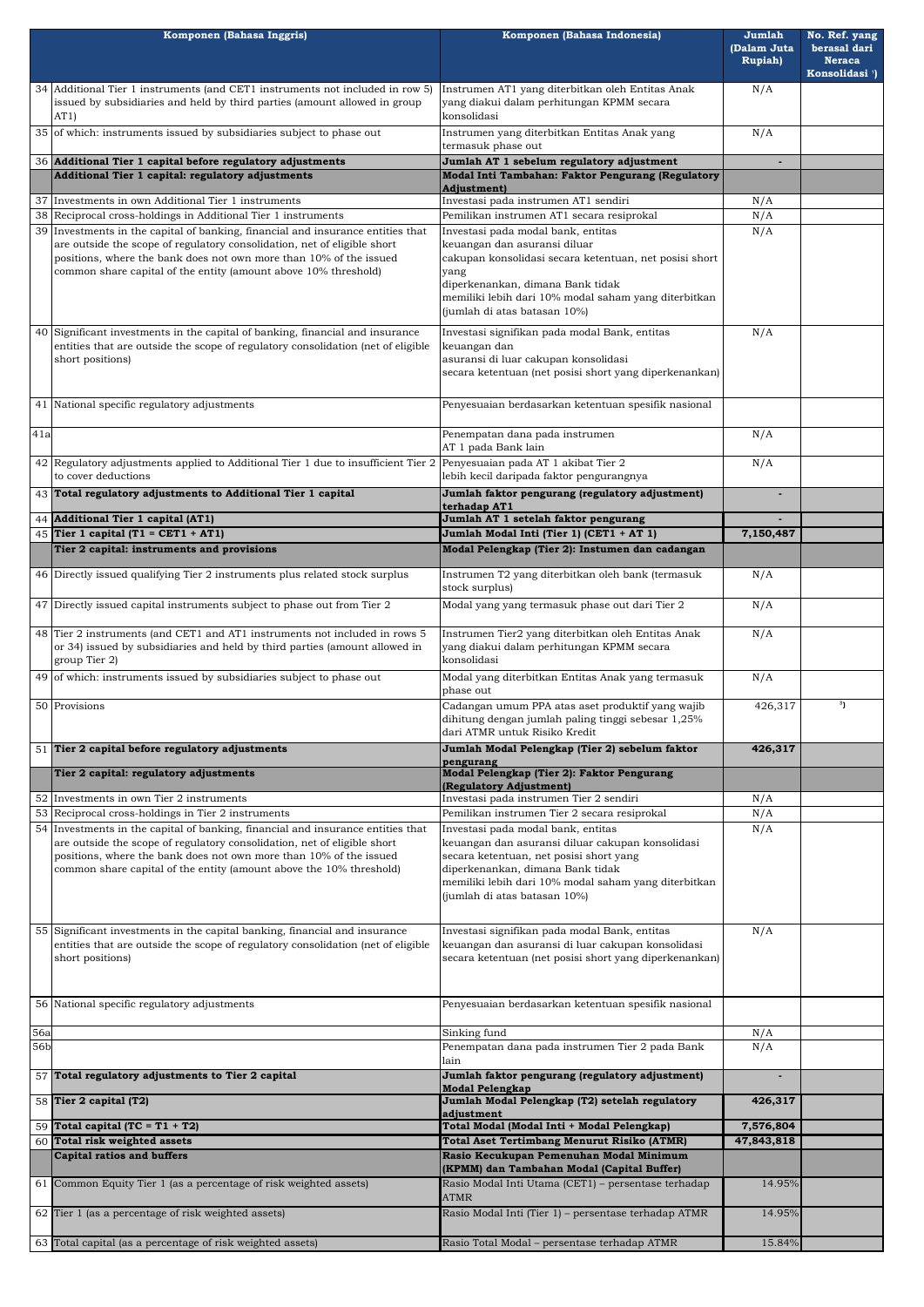| Komponen (Bahasa Inggris) |                                                                                                                                                                                                                                                                                                   | Komponen (Bahasa Indonesia)                                                                                                                                                                                                                                      | Jumlah<br>(Dalam Juta<br><b>Rupiah</b> ) | No. Ref. yang<br>berasal dari<br><b>Neraca</b><br>Konsolidasi <sup>1</sup> ) |
|---------------------------|---------------------------------------------------------------------------------------------------------------------------------------------------------------------------------------------------------------------------------------------------------------------------------------------------|------------------------------------------------------------------------------------------------------------------------------------------------------------------------------------------------------------------------------------------------------------------|------------------------------------------|------------------------------------------------------------------------------|
|                           | 34 Additional Tier 1 instruments (and CET1 instruments not included in row 5)<br>issued by subsidiaries and held by third parties (amount allowed in group<br>AT1)                                                                                                                                | Instrumen AT1 yang diterbitkan oleh Entitas Anak<br>yang diakui dalam perhitungan KPMM secara<br>konsolidasi                                                                                                                                                     | N/A                                      |                                                                              |
|                           | 35 of which: instruments issued by subsidiaries subject to phase out                                                                                                                                                                                                                              | Instrumen yang diterbitkan Entitas Anak yang<br>termasuk phase out                                                                                                                                                                                               | N/A                                      |                                                                              |
|                           | 36 Additional Tier 1 capital before regulatory adjustments                                                                                                                                                                                                                                        | Jumlah AT 1 sebelum regulatory adjustment                                                                                                                                                                                                                        |                                          |                                                                              |
|                           | Additional Tier 1 capital: regulatory adjustments                                                                                                                                                                                                                                                 | Modal Inti Tambahan: Faktor Pengurang (Regulatory                                                                                                                                                                                                                |                                          |                                                                              |
| 37                        | Investments in own Additional Tier 1 instruments                                                                                                                                                                                                                                                  | <b>Adjustment</b> )<br>Investasi pada instrumen AT1 sendiri                                                                                                                                                                                                      | N/A                                      |                                                                              |
|                           | 38 Reciprocal cross-holdings in Additional Tier 1 instruments                                                                                                                                                                                                                                     | Pemilikan instrumen AT1 secara resiprokal                                                                                                                                                                                                                        | N/A                                      |                                                                              |
| 39                        | Investments in the capital of banking, financial and insurance entities that<br>are outside the scope of regulatory consolidation, net of eligible short<br>positions, where the bank does not own more than 10% of the issued<br>common share capital of the entity (amount above 10% threshold) | Investasi pada modal bank, entitas<br>keuangan dan asuransi diluar<br>cakupan konsolidasi secara ketentuan, net posisi short<br>yang<br>diperkenankan, dimana Bank tidak<br>memiliki lebih dari 10% modal saham yang diterbitkan<br>(jumlah di atas batasan 10%) | N/A                                      |                                                                              |
| 40                        | Significant investments in the capital of banking, financial and insurance<br>entities that are outside the scope of regulatory consolidation (net of eligible<br>short positions)                                                                                                                | Investasi signifikan pada modal Bank, entitas<br>keuangan dan<br>asuransi di luar cakupan konsolidasi<br>secara ketentuan (net posisi short yang diperkenankan)                                                                                                  | N/A                                      |                                                                              |
|                           | 41 National specific regulatory adjustments                                                                                                                                                                                                                                                       | Penyesuaian berdasarkan ketentuan spesifik nasional                                                                                                                                                                                                              |                                          |                                                                              |
| 41a                       |                                                                                                                                                                                                                                                                                                   | Penempatan dana pada instrumen<br>AT 1 pada Bank lain                                                                                                                                                                                                            | N/A                                      |                                                                              |
|                           | 42 Regulatory adjustments applied to Additional Tier 1 due to insufficient Tier 2 Penyesuaian pada AT 1 akibat Tier 2<br>to cover deductions                                                                                                                                                      | lebih kecil daripada faktor pengurangnya                                                                                                                                                                                                                         | N/A                                      |                                                                              |
|                           | 43 Total regulatory adjustments to Additional Tier 1 capital                                                                                                                                                                                                                                      | Jumlah faktor pengurang (regulatory adjustment)<br>terhadap AT1                                                                                                                                                                                                  |                                          |                                                                              |
|                           | 44 Additional Tier 1 capital (AT1)                                                                                                                                                                                                                                                                | Jumlah AT 1 setelah faktor pengurang                                                                                                                                                                                                                             |                                          |                                                                              |
|                           | 45 Tier 1 capital (T1 = CET1 + AT1)<br>Tier 2 capital: instruments and provisions                                                                                                                                                                                                                 | Jumlah Modal Inti (Tier 1) (CET1 + AT 1)<br>Modal Pelengkap (Tier 2): Instumen dan cadangan                                                                                                                                                                      | 7,150,487                                |                                                                              |
|                           |                                                                                                                                                                                                                                                                                                   |                                                                                                                                                                                                                                                                  |                                          |                                                                              |
|                           | 46 Directly issued qualifying Tier 2 instruments plus related stock surplus                                                                                                                                                                                                                       | Instrumen T2 yang diterbitkan oleh bank (termasuk<br>stock surplus)                                                                                                                                                                                              | N/A                                      |                                                                              |
|                           | 47 Directly issued capital instruments subject to phase out from Tier 2<br>48 Tier 2 instruments (and CET1 and AT1 instruments not included in rows 5                                                                                                                                             | Modal yang yang termasuk phase out dari Tier 2<br>Instrumen Tier2 yang diterbitkan oleh Entitas Anak                                                                                                                                                             | N/A                                      |                                                                              |
|                           | or 34) issued by subsidiaries and held by third parties (amount allowed in<br>group Tier 2)                                                                                                                                                                                                       | yang diakui dalam perhitungan KPMM secara<br>konsolidasi                                                                                                                                                                                                         | N/A                                      |                                                                              |
|                           | 49 of which: instruments issued by subsidiaries subject to phase out                                                                                                                                                                                                                              | Modal yang diterbitkan Entitas Anak yang termasuk<br>phase out                                                                                                                                                                                                   | N/A                                      |                                                                              |
|                           | 50 Provisions                                                                                                                                                                                                                                                                                     | Cadangan umum PPA atas aset produktif yang wajib<br>dihitung dengan jumlah paling tinggi sebesar 1,25%<br>dari ATMR untuk Risiko Kredit                                                                                                                          | 426,317                                  | <sup>3</sup> ]                                                               |
|                           | 51 Tier 2 capital before regulatory adjustments                                                                                                                                                                                                                                                   | Jumlah Modal Pelengkap (Tier 2) sebelum faktor<br>pengurang                                                                                                                                                                                                      | 426,317                                  |                                                                              |
|                           | Tier 2 capital: regulatory adjustments                                                                                                                                                                                                                                                            | Modal Pelengkap (Tier 2): Faktor Pengurang                                                                                                                                                                                                                       |                                          |                                                                              |
|                           | 52 Investments in own Tier 2 instruments                                                                                                                                                                                                                                                          | (Regulatory Adjustment)<br>Investasi pada instrumen Tier 2 sendiri                                                                                                                                                                                               | N/A                                      |                                                                              |
|                           | 53 Reciprocal cross-holdings in Tier 2 instruments                                                                                                                                                                                                                                                | Pemilikan instrumen Tier 2 secara resiprokal                                                                                                                                                                                                                     | N/A                                      |                                                                              |
|                           | 54 Investments in the capital of banking, financial and insurance entities that                                                                                                                                                                                                                   | Investasi pada modal bank, entitas                                                                                                                                                                                                                               | N/A                                      |                                                                              |
|                           | are outside the scope of regulatory consolidation, net of eligible short<br>positions, where the bank does not own more than 10% of the issued<br>common share capital of the entity (amount above the 10% threshold)                                                                             | keuangan dan asuransi diluar cakupan konsolidasi<br>secara ketentuan, net posisi short yang<br>diperkenankan, dimana Bank tidak<br>memiliki lebih dari 10% modal saham yang diterbitkan<br>(jumlah di atas batasan 10%)                                          |                                          |                                                                              |
|                           | 55 Significant investments in the capital banking, financial and insurance<br>entities that are outside the scope of regulatory consolidation (net of eligible<br>short positions)                                                                                                                | Investasi signifikan pada modal Bank, entitas<br>keuangan dan asuransi di luar cakupan konsolidasi<br>secara ketentuan (net posisi short yang diperkenankan)                                                                                                     | N/A                                      |                                                                              |
|                           | 56 National specific regulatory adjustments                                                                                                                                                                                                                                                       | Penyesuaian berdasarkan ketentuan spesifik nasional                                                                                                                                                                                                              |                                          |                                                                              |
| <b>56a</b>                |                                                                                                                                                                                                                                                                                                   | Sinking fund                                                                                                                                                                                                                                                     | N/A                                      |                                                                              |
| 56b                       |                                                                                                                                                                                                                                                                                                   | Penempatan dana pada instrumen Tier 2 pada Bank<br>lain                                                                                                                                                                                                          | N/A                                      |                                                                              |
|                           | 57 Total regulatory adjustments to Tier 2 capital                                                                                                                                                                                                                                                 | Jumlah faktor pengurang (regulatory adjustment)<br><b>Modal Pelengkap</b>                                                                                                                                                                                        | $\blacksquare$                           |                                                                              |
|                           | 58 Tier 2 capital $(T2)$                                                                                                                                                                                                                                                                          | Jumlah Modal Pelengkap (T2) setelah regulatory<br>adjustment                                                                                                                                                                                                     | 426,317                                  |                                                                              |
|                           | 59 Total capital (TC = $T1 + T2$ )                                                                                                                                                                                                                                                                | Total Modal (Modal Inti + Modal Pelengkap)                                                                                                                                                                                                                       | 7,576,804                                |                                                                              |
|                           | 60 Total risk weighted assets                                                                                                                                                                                                                                                                     | <b>Total Aset Tertimbang Menurut Risiko (ATMR)</b>                                                                                                                                                                                                               | 47,843,818                               |                                                                              |
|                           | <b>Capital ratios and buffers</b><br>61 Common Equity Tier 1 (as a percentage of risk weighted assets)                                                                                                                                                                                            | Rasio Kecukupan Pemenuhan Modal Minimum<br>(KPMM) dan Tambahan Modal (Capital Buffer)<br>Rasio Modal Inti Utama (CET1) - persentase terhadap                                                                                                                     | 14.95%                                   |                                                                              |
|                           | 62 Tier 1 (as a percentage of risk weighted assets)                                                                                                                                                                                                                                               | <b>ATMR</b><br>Rasio Modal Inti (Tier 1) - persentase terhadap ATMR                                                                                                                                                                                              | 14.95%                                   |                                                                              |
|                           |                                                                                                                                                                                                                                                                                                   |                                                                                                                                                                                                                                                                  |                                          |                                                                              |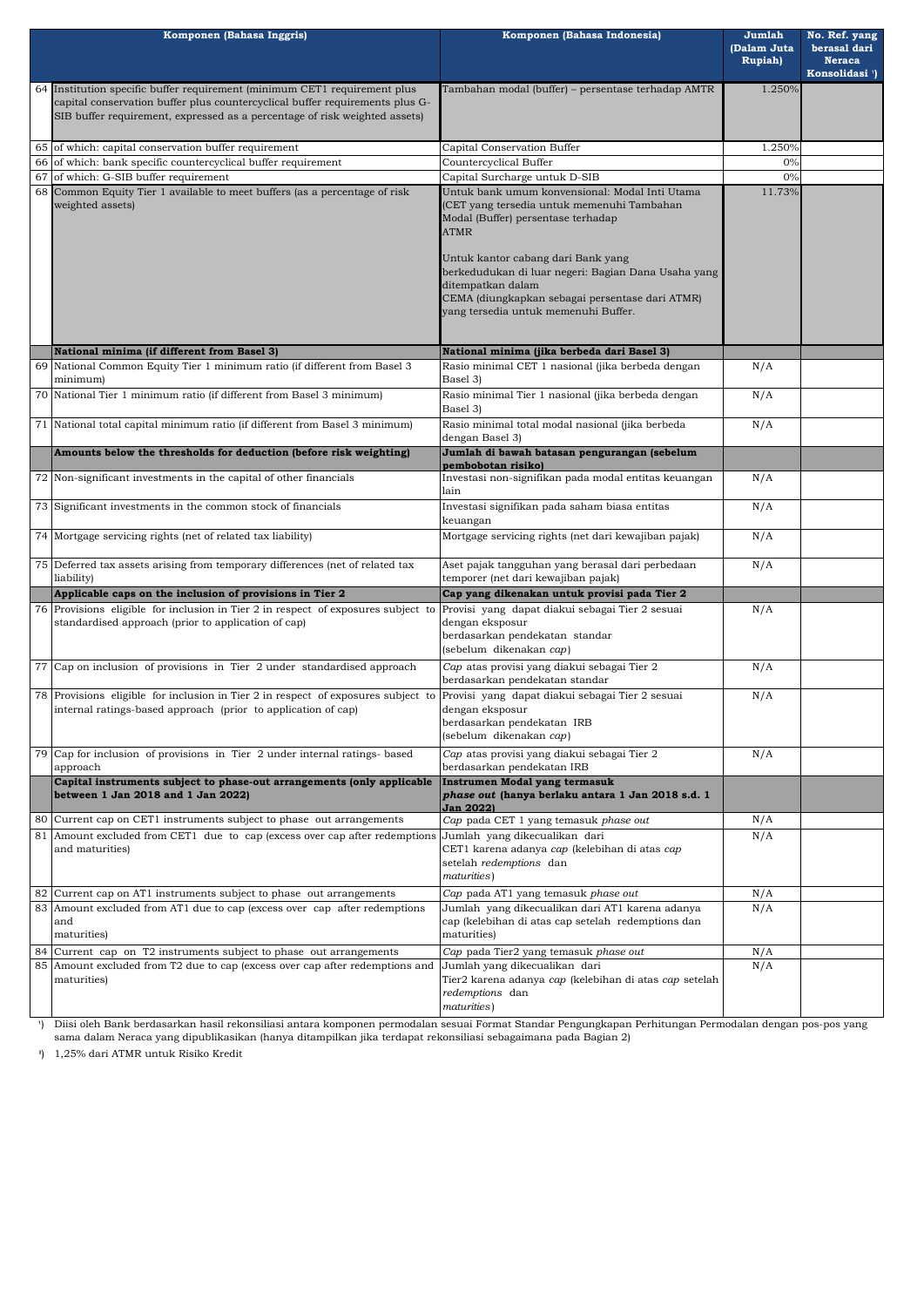| Komponen (Bahasa Inggris)                                                                                                                                                                                                               | Komponen (Bahasa Indonesia)                                                                                                                                                                                                                                                                                                                                    | Jumlah<br>(Dalam Juta<br><b>Rupiah</b> ) | No. Ref. yang<br>berasal dari<br><b>Neraca</b><br>Konsolidasi <sup>1</sup> ) |
|-----------------------------------------------------------------------------------------------------------------------------------------------------------------------------------------------------------------------------------------|----------------------------------------------------------------------------------------------------------------------------------------------------------------------------------------------------------------------------------------------------------------------------------------------------------------------------------------------------------------|------------------------------------------|------------------------------------------------------------------------------|
| 64 Institution specific buffer requirement (minimum CET1 requirement plus<br>capital conservation buffer plus countercyclical buffer requirements plus G-<br>SIB buffer requirement, expressed as a percentage of risk weighted assets) | Tambahan modal (buffer) - persentase terhadap AMTR                                                                                                                                                                                                                                                                                                             | 1.250%                                   |                                                                              |
| 65 of which: capital conservation buffer requirement                                                                                                                                                                                    | Capital Conservation Buffer                                                                                                                                                                                                                                                                                                                                    | 1.250%                                   |                                                                              |
| 66 of which: bank specific countercyclical buffer requirement                                                                                                                                                                           | Countercyclical Buffer                                                                                                                                                                                                                                                                                                                                         | 0%                                       |                                                                              |
| 67 of which: G-SIB buffer requirement                                                                                                                                                                                                   | Capital Surcharge untuk D-SIB                                                                                                                                                                                                                                                                                                                                  | 0%                                       |                                                                              |
| 68 Common Equity Tier 1 available to meet buffers (as a percentage of risk<br>weighted assets)                                                                                                                                          | Untuk bank umum konvensional: Modal Inti Utama<br>(CET yang tersedia untuk memenuhi Tambahan<br>Modal (Buffer) persentase terhadap<br><b>ATMR</b><br>Untuk kantor cabang dari Bank yang<br>berkedudukan di luar negeri: Bagian Dana Usaha yang<br>ditempatkan dalam<br>CEMA (diungkapkan sebagai persentase dari ATMR)<br>yang tersedia untuk memenuhi Buffer. | 11.73%                                   |                                                                              |
| National minima (if different from Basel 3)                                                                                                                                                                                             |                                                                                                                                                                                                                                                                                                                                                                |                                          |                                                                              |
| 69 National Common Equity Tier 1 minimum ratio (if different from Basel 3                                                                                                                                                               | National minima (jika berbeda dari Basel 3)<br>Rasio minimal CET 1 nasional (jika berbeda dengan                                                                                                                                                                                                                                                               | N/A                                      |                                                                              |
| minimum)<br>70 National Tier 1 minimum ratio (if different from Basel 3 minimum)                                                                                                                                                        | Basel 3)<br>Rasio minimal Tier 1 nasional (jika berbeda dengan                                                                                                                                                                                                                                                                                                 | N/A                                      |                                                                              |
|                                                                                                                                                                                                                                         | Basel 3)                                                                                                                                                                                                                                                                                                                                                       |                                          |                                                                              |
| 71 National total capital minimum ratio (if different from Basel 3 minimum)                                                                                                                                                             | Rasio minimal total modal nasional (jika berbeda<br>dengan Basel 3)                                                                                                                                                                                                                                                                                            | N/A                                      |                                                                              |
| Amounts below the thresholds for deduction (before risk weighting)                                                                                                                                                                      | Jumlah di bawah batasan pengurangan (sebelum<br>pembobotan risiko)                                                                                                                                                                                                                                                                                             |                                          |                                                                              |
| 72 Non-significant investments in the capital of other financials                                                                                                                                                                       | Investasi non-signifikan pada modal entitas keuangan<br>lain                                                                                                                                                                                                                                                                                                   | N/A                                      |                                                                              |
| 73 Significant investments in the common stock of financials                                                                                                                                                                            | Investasi signifikan pada saham biasa entitas<br>keuangan                                                                                                                                                                                                                                                                                                      | N/A                                      |                                                                              |
| 74 Mortgage servicing rights (net of related tax liability)                                                                                                                                                                             | Mortgage servicing rights (net dari kewajiban pajak)                                                                                                                                                                                                                                                                                                           | N/A                                      |                                                                              |
| 75 Deferred tax assets arising from temporary differences (net of related tax<br>liability)                                                                                                                                             | Aset pajak tangguhan yang berasal dari perbedaan<br>temporer (net dari kewajiban pajak)                                                                                                                                                                                                                                                                        | N/A                                      |                                                                              |
| Applicable caps on the inclusion of provisions in Tier 2                                                                                                                                                                                | Cap yang dikenakan untuk provisi pada Tier 2                                                                                                                                                                                                                                                                                                                   |                                          |                                                                              |
| 76 Provisions eligible for inclusion in Tier 2 in respect of exposures subject to<br>standardised approach (prior to application of cap)                                                                                                | Provisi yang dapat diakui sebagai Tier 2 sesuai<br>dengan eksposur<br>berdasarkan pendekatan standar<br>(sebelum dikenakan cap)                                                                                                                                                                                                                                | N/A                                      |                                                                              |
| 77 Cap on inclusion of provisions in Tier 2 under standardised approach                                                                                                                                                                 | Cap atas provisi yang diakui sebagai Tier 2<br>berdasarkan pendekatan standar                                                                                                                                                                                                                                                                                  | N/A                                      |                                                                              |
| 78 Provisions eligible for inclusion in Tier 2 in respect of exposures subject to<br>internal ratings-based approach (prior to application of cap)                                                                                      | Provisi yang dapat diakui sebagai Tier 2 sesuai<br>dengan eksposur<br>berdasarkan pendekatan IRB<br>(sebelum dikenakan cap)                                                                                                                                                                                                                                    | N/A                                      |                                                                              |
| 79 Cap for inclusion of provisions in Tier 2 under internal ratings- based<br>approach                                                                                                                                                  | Cap atas provisi yang diakui sebagai Tier 2<br>berdasarkan pendekatan IRB                                                                                                                                                                                                                                                                                      | N/A                                      |                                                                              |
| Capital instruments subject to phase-out arrangements (only applicable<br>between 1 Jan 2018 and 1 Jan 2022)                                                                                                                            | Instrumen Modal yang termasuk<br>phase out (hanya berlaku antara 1 Jan 2018 s.d. 1<br><b>Jan 2022)</b>                                                                                                                                                                                                                                                         |                                          |                                                                              |
| 80 Current cap on CET1 instruments subject to phase out arrangements                                                                                                                                                                    | Cap pada CET 1 yang temasuk phase out                                                                                                                                                                                                                                                                                                                          | N/A                                      |                                                                              |
| 81 Amount excluded from CET1 due to cap (excess over cap after redemptions Jumlah yang dikecualikan dari<br>and maturities)                                                                                                             | CET1 karena adanya <i>cap (kelebihan di atas cap</i><br>setelah redemptions dan<br>maturities)                                                                                                                                                                                                                                                                 | N/A                                      |                                                                              |
| 82 Current cap on AT1 instruments subject to phase out arrangements                                                                                                                                                                     | Cap pada AT1 yang temasuk phase out                                                                                                                                                                                                                                                                                                                            | N/A                                      |                                                                              |
| 83 Amount excluded from AT1 due to cap (excess over cap after redemptions<br>and<br>maturities)                                                                                                                                         | Jumlah yang dikecualikan dari AT1 karena adanya<br>cap (kelebihan di atas cap setelah redemptions dan<br>maturities)                                                                                                                                                                                                                                           | N/A                                      |                                                                              |
| 84 Current cap on T2 instruments subject to phase out arrangements                                                                                                                                                                      | Cap pada Tier2 yang temasuk phase out                                                                                                                                                                                                                                                                                                                          | N/A                                      |                                                                              |
| 85 Amount excluded from T2 due to cap (excess over cap after redemptions and<br>maturities)                                                                                                                                             | Jumlah yang dikecualikan dari<br>Tier2 karena adanya cap (kelebihan di atas cap setelah<br>redemptions dan<br>maturities)                                                                                                                                                                                                                                      | N/A                                      |                                                                              |
|                                                                                                                                                                                                                                         |                                                                                                                                                                                                                                                                                                                                                                |                                          |                                                                              |

- ') Diisi oleh Bank berdasarkan hasil rekonsiliasi antara komponen permodalan sesuai Format Standar Pengungkapan Perhitungan Permodalan dengan pos-pos yang sama dalam Neraca yang dipublikasikan (hanya ditampilkan jika terdapat rekonsiliasi sebagaimana pada Bagian 2)
- **³**) 1,25% dari ATMR untuk Risiko Kredit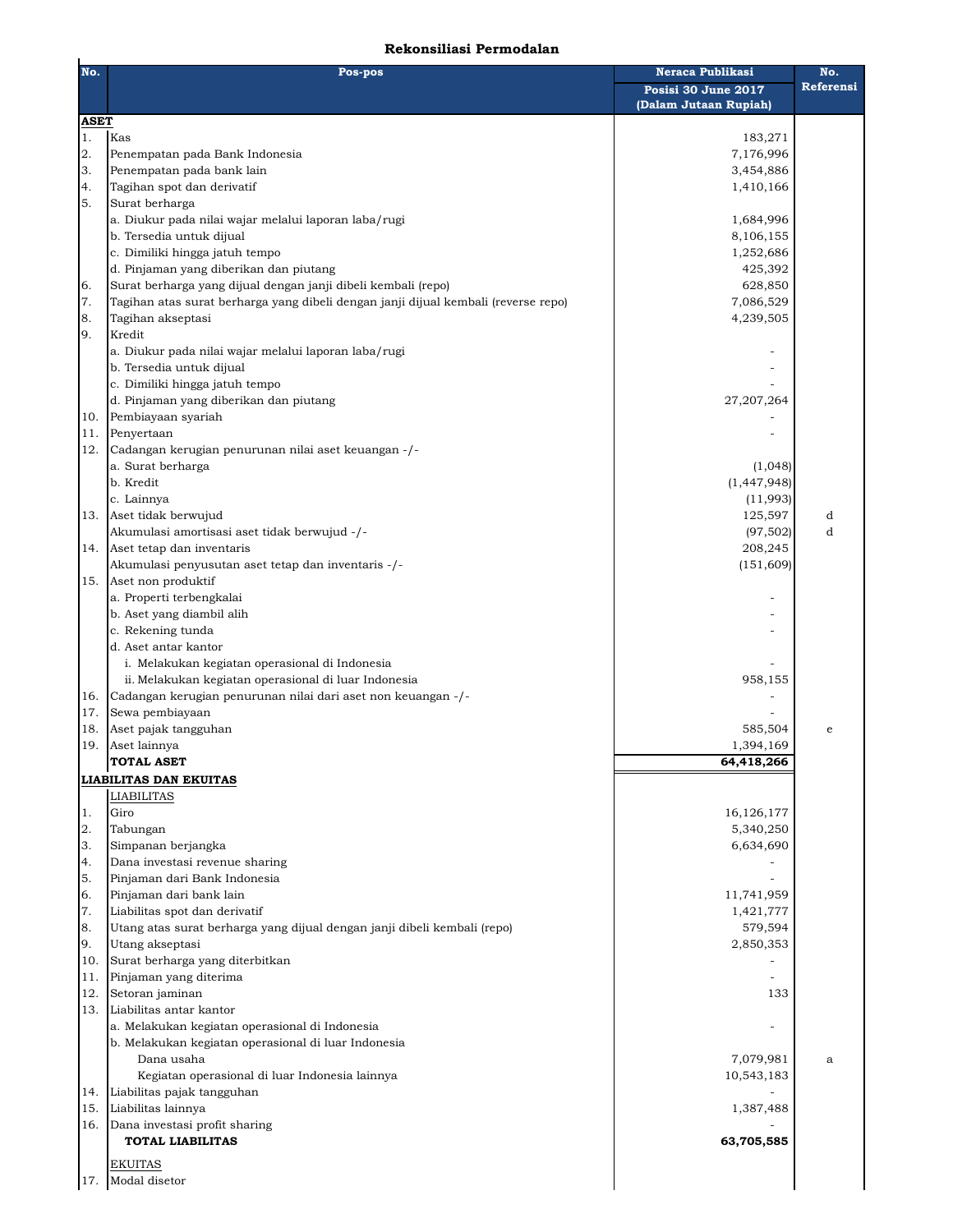## **Rekonsiliasi Permodalan**

| No.         | Pos-pos                                                                            | Neraca Publikasi                             | No.       |
|-------------|------------------------------------------------------------------------------------|----------------------------------------------|-----------|
|             |                                                                                    | Posisi 30 June 2017<br>(Dalam Jutaan Rupiah) | Referensi |
| <b>ASET</b> |                                                                                    |                                              |           |
| 1.          | Kas                                                                                | 183,271                                      |           |
| 2.          | Penempatan pada Bank Indonesia                                                     | 7,176,996                                    |           |
| 3.          | Penempatan pada bank lain                                                          | 3,454,886                                    |           |
| 4.          | Tagihan spot dan derivatif                                                         | 1,410,166                                    |           |
| 5.          | Surat berharga                                                                     |                                              |           |
|             | a. Diukur pada nilai wajar melalui laporan laba/rugi                               | 1,684,996                                    |           |
|             | b. Tersedia untuk dijual                                                           | 8,106,155                                    |           |
|             | c. Dimiliki hingga jatuh tempo                                                     | 1,252,686                                    |           |
|             | d. Pinjaman yang diberikan dan piutang                                             | 425,392                                      |           |
| 6.          | Surat berharga yang dijual dengan janji dibeli kembali (repo)                      | 628,850                                      |           |
| 7.          | Tagihan atas surat berharga yang dibeli dengan janji dijual kembali (reverse repo) | 7,086,529                                    |           |
| 8.          | Tagihan akseptasi                                                                  | 4,239,505                                    |           |
| 9.          | Kredit                                                                             |                                              |           |
|             | a. Diukur pada nilai wajar melalui laporan laba/rugi                               |                                              |           |
|             | b. Tersedia untuk dijual                                                           |                                              |           |
|             | c. Dimiliki hingga jatuh tempo                                                     |                                              |           |
|             | d. Pinjaman yang diberikan dan piutang                                             | 27,207,264                                   |           |
| 10.         | Pembiayaan syariah                                                                 |                                              |           |
| 11.         | Penyertaan                                                                         |                                              |           |
| 12.         | Cadangan kerugian penurunan nilai aset keuangan -/-                                |                                              |           |
|             | a. Surat berharga                                                                  | (1,048)                                      |           |
|             | b. Kredit<br>c. Lainnya                                                            | (1, 447, 948)                                |           |
|             |                                                                                    | (11,993)                                     |           |
| 13.         | Aset tidak berwujud<br>Akumulasi amortisasi aset tidak berwujud -/-                | 125,597                                      | d<br>d    |
|             |                                                                                    | (97, 502)                                    |           |
| 14.         | Aset tetap dan inventaris<br>Akumulasi penyusutan aset tetap dan inventaris -/-    | 208,245<br>(151, 609)                        |           |
| 15.         | Aset non produktif                                                                 |                                              |           |
|             | a. Properti terbengkalai                                                           |                                              |           |
|             | b. Aset yang diambil alih                                                          |                                              |           |
|             | c. Rekening tunda                                                                  |                                              |           |
|             | d. Aset antar kantor                                                               |                                              |           |
|             | i. Melakukan kegiatan operasional di Indonesia                                     |                                              |           |
|             | ii. Melakukan kegiatan operasional di luar Indonesia                               | 958,155                                      |           |
| 16.         | Cadangan kerugian penurunan nilai dari aset non keuangan -/-                       |                                              |           |
| 17.         | Sewa pembiayaan                                                                    |                                              |           |
| 18.         | Aset pajak tangguhan                                                               | 585,504                                      | e         |
| 19.         | Aset lainnya                                                                       | 1,394,169                                    |           |
|             | <b>TOTAL ASET</b>                                                                  | 64,418,266                                   |           |
|             | <b>LIABILITAS DAN EKUITAS</b>                                                      |                                              |           |
|             | <b>LIABILITAS</b>                                                                  |                                              |           |
| 1.          | Giro                                                                               | 16,126,177                                   |           |
| 2.          | Tabungan                                                                           | 5,340,250                                    |           |
| 3.          | Simpanan berjangka                                                                 | 6,634,690                                    |           |
| 4.          | Dana investasi revenue sharing                                                     |                                              |           |
| 5.          | Pinjaman dari Bank Indonesia                                                       |                                              |           |
| 6.          | Pinjaman dari bank lain                                                            | 11,741,959                                   |           |
| 7.          | Liabilitas spot dan derivatif                                                      | 1,421,777                                    |           |
| 8.          | Utang atas surat berharga yang dijual dengan janji dibeli kembali (repo)           | 579,594                                      |           |
| 9.          | Utang akseptasi                                                                    | 2,850,353                                    |           |
| 10.         | Surat berharga yang diterbitkan                                                    |                                              |           |
| 11.         | Pinjaman yang diterima                                                             |                                              |           |
| 12.         | Setoran jaminan                                                                    | 133                                          |           |
| 13.         | Liabilitas antar kantor                                                            |                                              |           |
|             | a. Melakukan kegiatan operasional di Indonesia                                     |                                              |           |
|             | b. Melakukan kegiatan operasional di luar Indonesia                                |                                              |           |
|             | Dana usaha                                                                         | 7,079,981                                    | a         |
|             | Kegiatan operasional di luar Indonesia lainnya                                     | 10,543,183                                   |           |
| 14.         | Liabilitas pajak tangguhan                                                         |                                              |           |
| 15.         | Liabilitas lainnya                                                                 | 1,387,488                                    |           |
| 16.         | Dana investasi profit sharing                                                      |                                              |           |
|             | <b>TOTAL LIABILITAS</b>                                                            | 63,705,585                                   |           |
|             | <b>EKUITAS</b>                                                                     |                                              |           |
| 17.         | Modal disetor                                                                      |                                              |           |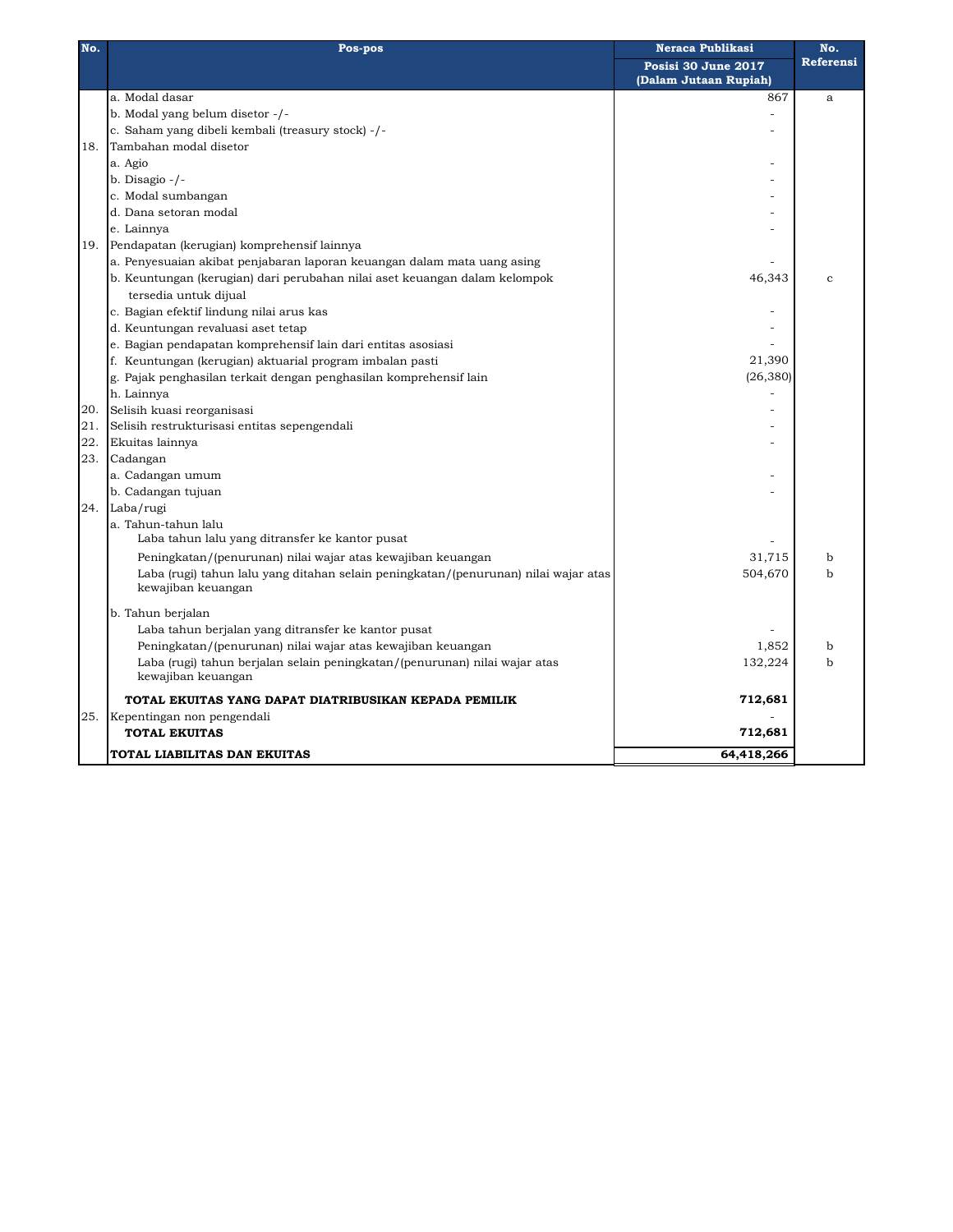| No. | Pos-pos                                                                             | <b>Neraca Publikasi</b> | No.          |
|-----|-------------------------------------------------------------------------------------|-------------------------|--------------|
|     |                                                                                     | Posisi 30 June 2017     | Referensi    |
|     |                                                                                     | (Dalam Jutaan Rupiah)   |              |
|     | a. Modal dasar                                                                      | 867                     | a            |
|     | b. Modal yang belum disetor -/-                                                     |                         |              |
|     | c. Saham yang dibeli kembali (treasury stock) -/-                                   |                         |              |
| 18. | Tambahan modal disetor                                                              |                         |              |
|     | a. Agio                                                                             |                         |              |
|     | b. Disagio $-/-$                                                                    |                         |              |
|     | c. Modal sumbangan                                                                  |                         |              |
|     | d. Dana setoran modal                                                               |                         |              |
|     | e. Lainnya                                                                          |                         |              |
| 19. | Pendapatan (kerugian) komprehensif lainnya                                          |                         |              |
|     | a. Penyesuaian akibat penjabaran laporan keuangan dalam mata uang asing             |                         |              |
|     | b. Keuntungan (kerugian) dari perubahan nilai aset keuangan dalam kelompok          | 46,343                  | $\mathbf{C}$ |
|     | tersedia untuk dijual                                                               |                         |              |
|     | c. Bagian efektif lindung nilai arus kas                                            |                         |              |
|     | d. Keuntungan revaluasi aset tetap                                                  |                         |              |
|     | e. Bagian pendapatan komprehensif lain dari entitas asosiasi                        |                         |              |
|     | f. Keuntungan (kerugian) aktuarial program imbalan pasti                            | 21,390                  |              |
|     | g. Pajak penghasilan terkait dengan penghasilan komprehensif lain                   | (26, 380)               |              |
|     | h. Lainnya                                                                          |                         |              |
| 20. | Selisih kuasi reorganisasi                                                          |                         |              |
| 21. | Selisih restrukturisasi entitas sepengendali                                        |                         |              |
| 22. |                                                                                     |                         |              |
|     | Ekuitas lainnya                                                                     |                         |              |
| 23. | Cadangan                                                                            |                         |              |
|     | a. Cadangan umum                                                                    |                         |              |
|     | b. Cadangan tujuan                                                                  |                         |              |
| 24. | Laba/rugi                                                                           |                         |              |
|     | a. Tahun-tahun lalu                                                                 |                         |              |
|     | Laba tahun lalu yang ditransfer ke kantor pusat                                     |                         |              |
|     | Peningkatan/(penurunan) nilai wajar atas kewajiban keuangan                         | 31,715                  | b            |
|     | Laba (rugi) tahun lalu yang ditahan selain peningkatan/(penurunan) nilai wajar atas | 504,670                 | $\mathbf b$  |
|     | kewajiban keuangan                                                                  |                         |              |
|     | b. Tahun berjalan                                                                   |                         |              |
|     | Laba tahun berjalan yang ditransfer ke kantor pusat                                 |                         |              |
|     | Peningkatan/(penurunan) nilai wajar atas kewajiban keuangan                         | 1,852                   | $\mathbf b$  |
|     | Laba (rugi) tahun berjalan selain peningkatan/(penurunan) nilai wajar atas          | 132,224                 | b            |
|     | kewajiban keuangan                                                                  |                         |              |
|     | TOTAL EKUITAS YANG DAPAT DIATRIBUSIKAN KEPADA PEMILIK                               | 712,681                 |              |
| 25. | Kepentingan non pengendali                                                          |                         |              |
|     | <b>TOTAL EKUITAS</b>                                                                | 712,681                 |              |
|     | TOTAL LIABILITAS DAN EKUITAS                                                        | 64,418,266              |              |